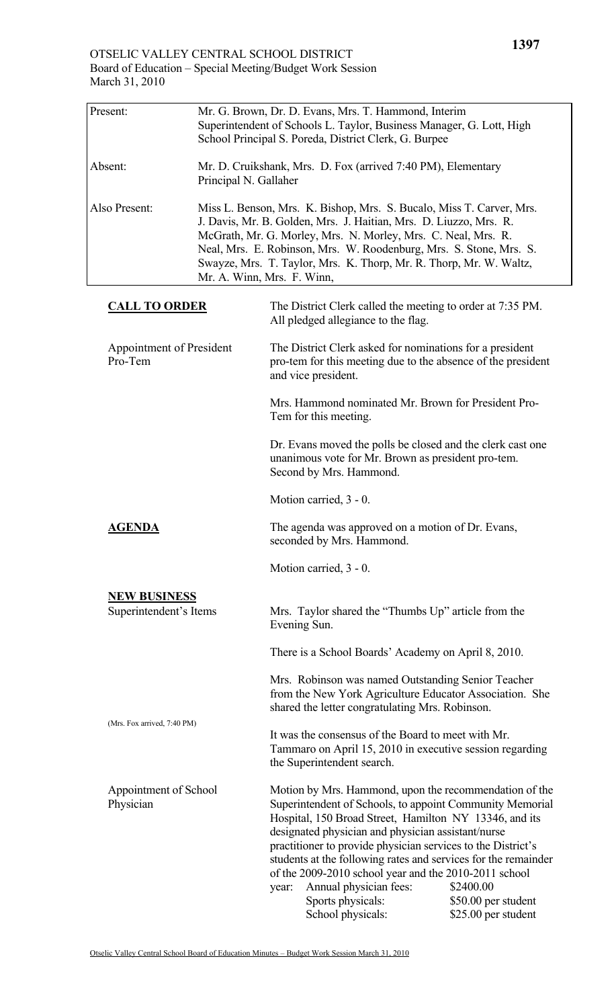| Present:                            |                                                                                                                                                                                                                                                                                                                                                                                      | Mr. G. Brown, Dr. D. Evans, Mrs. T. Hammond, Interim<br>Superintendent of Schools L. Taylor, Business Manager, G. Lott, High<br>School Principal S. Poreda, District Clerk, G. Burpee                                                                                                                                                                                                                                                                                                                                     |
|-------------------------------------|--------------------------------------------------------------------------------------------------------------------------------------------------------------------------------------------------------------------------------------------------------------------------------------------------------------------------------------------------------------------------------------|---------------------------------------------------------------------------------------------------------------------------------------------------------------------------------------------------------------------------------------------------------------------------------------------------------------------------------------------------------------------------------------------------------------------------------------------------------------------------------------------------------------------------|
| Absent:                             | Mr. D. Cruikshank, Mrs. D. Fox (arrived 7:40 PM), Elementary<br>Principal N. Gallaher                                                                                                                                                                                                                                                                                                |                                                                                                                                                                                                                                                                                                                                                                                                                                                                                                                           |
| Also Present:                       | Miss L. Benson, Mrs. K. Bishop, Mrs. S. Bucalo, Miss T. Carver, Mrs.<br>J. Davis, Mr. B. Golden, Mrs. J. Haitian, Mrs. D. Liuzzo, Mrs. R.<br>McGrath, Mr. G. Morley, Mrs. N. Morley, Mrs. C. Neal, Mrs. R.<br>Neal, Mrs. E. Robinson, Mrs. W. Roodenburg, Mrs. S. Stone, Mrs. S.<br>Swayze, Mrs. T. Taylor, Mrs. K. Thorp, Mr. R. Thorp, Mr. W. Waltz,<br>Mr. A. Winn, Mrs. F. Winn, |                                                                                                                                                                                                                                                                                                                                                                                                                                                                                                                           |
| <b>CALL TO ORDER</b>                |                                                                                                                                                                                                                                                                                                                                                                                      | The District Clerk called the meeting to order at 7:35 PM.<br>All pledged allegiance to the flag.                                                                                                                                                                                                                                                                                                                                                                                                                         |
| Appointment of President<br>Pro-Tem |                                                                                                                                                                                                                                                                                                                                                                                      | The District Clerk asked for nominations for a president<br>pro-tem for this meeting due to the absence of the president<br>and vice president.                                                                                                                                                                                                                                                                                                                                                                           |
|                                     |                                                                                                                                                                                                                                                                                                                                                                                      | Mrs. Hammond nominated Mr. Brown for President Pro-<br>Tem for this meeting.                                                                                                                                                                                                                                                                                                                                                                                                                                              |
|                                     |                                                                                                                                                                                                                                                                                                                                                                                      | Dr. Evans moved the polls be closed and the clerk cast one<br>unanimous vote for Mr. Brown as president pro-tem.<br>Second by Mrs. Hammond.                                                                                                                                                                                                                                                                                                                                                                               |
|                                     |                                                                                                                                                                                                                                                                                                                                                                                      | Motion carried, 3 - 0.                                                                                                                                                                                                                                                                                                                                                                                                                                                                                                    |
| <b>AGENDA</b>                       |                                                                                                                                                                                                                                                                                                                                                                                      | The agenda was approved on a motion of Dr. Evans,<br>seconded by Mrs. Hammond.                                                                                                                                                                                                                                                                                                                                                                                                                                            |
|                                     |                                                                                                                                                                                                                                                                                                                                                                                      | Motion carried, 3 - 0.                                                                                                                                                                                                                                                                                                                                                                                                                                                                                                    |
| <b>NEW BUSINESS</b>                 |                                                                                                                                                                                                                                                                                                                                                                                      |                                                                                                                                                                                                                                                                                                                                                                                                                                                                                                                           |
| Superintendent's Items              |                                                                                                                                                                                                                                                                                                                                                                                      | Mrs. Taylor shared the "Thumbs Up" article from the<br>Evening Sun.                                                                                                                                                                                                                                                                                                                                                                                                                                                       |
|                                     |                                                                                                                                                                                                                                                                                                                                                                                      | There is a School Boards' Academy on April 8, 2010.                                                                                                                                                                                                                                                                                                                                                                                                                                                                       |
| (Mrs. Fox arrived, 7:40 PM)         |                                                                                                                                                                                                                                                                                                                                                                                      | Mrs. Robinson was named Outstanding Senior Teacher<br>from the New York Agriculture Educator Association. She<br>shared the letter congratulating Mrs. Robinson.                                                                                                                                                                                                                                                                                                                                                          |
|                                     |                                                                                                                                                                                                                                                                                                                                                                                      | It was the consensus of the Board to meet with Mr.<br>Tammaro on April 15, 2010 in executive session regarding<br>the Superintendent search.                                                                                                                                                                                                                                                                                                                                                                              |
| Appointment of School<br>Physician  |                                                                                                                                                                                                                                                                                                                                                                                      | Motion by Mrs. Hammond, upon the recommendation of the<br>Superintendent of Schools, to appoint Community Memorial<br>Hospital, 150 Broad Street, Hamilton NY 13346, and its<br>designated physician and physician assistant/nurse<br>practitioner to provide physician services to the District's<br>students at the following rates and services for the remainder<br>of the 2009-2010 school year and the 2010-2011 school<br>Annual physician fees:<br>\$2400.00<br>year:<br>Sports physicals:<br>\$50.00 per student |

School physicals: \$25.00 per student